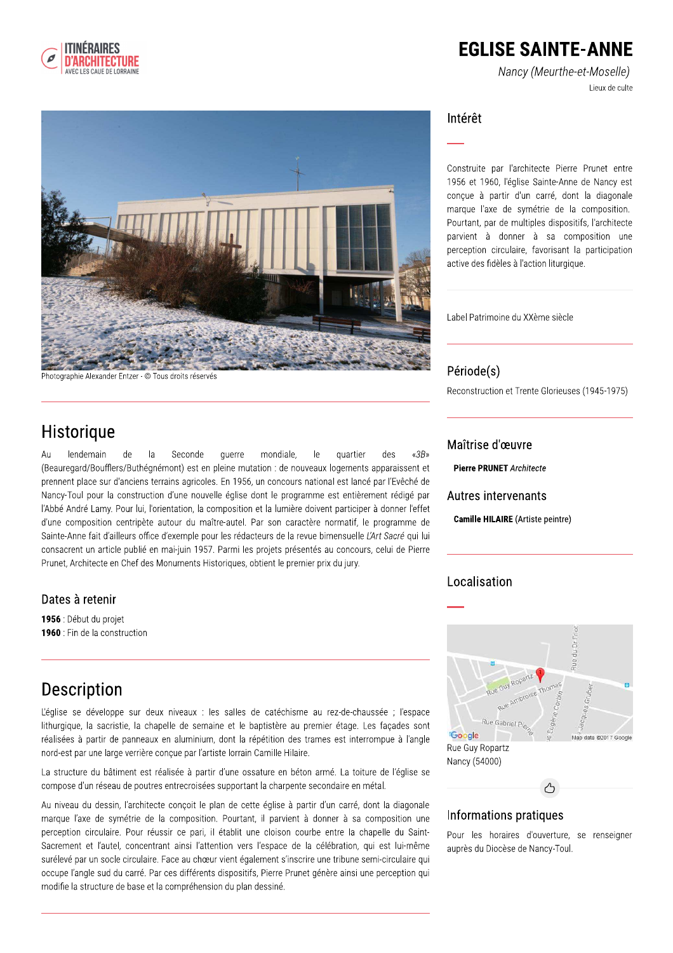

## **EGLISE SAINTE-ANNE**

Nancy (Meurthe-et-Moselle) Lieux de culte



Photographie Alexander Entzer - © Tous droits réservés

### Historique

lendemain Seconde  $AtI$ de  $|a|$ querre mondiale.  $|e$ quartier  $\langle \langle 3B \rangle$ (Beauregard/Boufflers/Buthégnémont) est en pleine mutation : de nouveaux logements apparaissent et prennent place sur d'anciens terrains agricoles. En 1956, un concours national est lancé par l'Evêché de Nancy-Toul pour la construction d'une nouvelle église dont le programme est entièrement rédigé par l'Abbé André Lamy. Pour lui, l'orientation, la composition et la lumière doivent participer à donner l'effet d'une composition centripète autour du maître-autel. Par son caractère normatif, le programme de Sainte-Anne fait d'ailleurs office d'exemple pour les rédacteurs de la revue bimensuelle L'Art Sacré qui lui consacrent un article publié en mai-juin 1957. Parmi les projets présentés au concours, celui de Pierre Prunet, Architecte en Chef des Monuments Historiques, obtient le premier prix du jury.

#### Dates à retenir

1956 : Début du projet 1960 : Fin de la construction

### Description

L'église se développe sur deux niveaux : les salles de catéchisme au rez-de-chaussée ; l'espace lithurgique, la sacristie, la chapelle de semaine et le baptistère au premier étage. Les facades sont réalisées à partir de panneaux en aluminium, dont la répétition des trames est interrompue à l'angle nord-est par une large verrière concue par l'artiste lorrain Camille Hilaire.

La structure du bâtiment est réalisée à partir d'une ossature en béton armé. La toiture de l'église se compose d'un réseau de poutres entrecroisées supportant la charpente secondaire en métal.

Au niveau du dessin, l'architecte conçoit le plan de cette église à partir d'un carré, dont la diagonale marque l'axe de symétrie de la composition. Pourtant, il parvient à donner à sa composition une perception circulaire. Pour réussir ce pari, il établit une cloison courbe entre la chapelle du Saint-Sacrement et l'autel, concentrant ainsi l'attention vers l'espace de la célébration, qui est lui-même surélevé par un socle circulaire. Face au chœur vient également s'inscrire une tribune semi-circulaire qui occupe l'angle sud du carré. Par ces différents dispositifs, Pierre Prunet génère ainsi une perception qui modifie la structure de base et la compréhension du plan dessiné.

#### Intérêt

Construite par l'architecte Pierre Prunet entre 1956 et 1960, l'église Sainte-Anne de Nancy est conçue à partir d'un carré, dont la diagonale marque l'axe de symétrie de la composition. Pourtant, par de multiples dispositifs, l'architecte parvient à donner à sa composition une perception circulaire, favorisant la participation active des fidèles à l'action liturgique.

Label Patrimoine du XXème siècle

#### Période(s)

Reconstruction et Trente Glorieuses (1945-1975)

#### Maîtrise d'œuvre

**Pierre PRUNET Architecte** 

#### Autres intervenants

**Camille HILAIRE** (Artiste peintre)

### Localisation



#### Informations pratiques

Pour les horaires d'ouverture, se renseigner auprès du Diocèse de Nancy-Toul.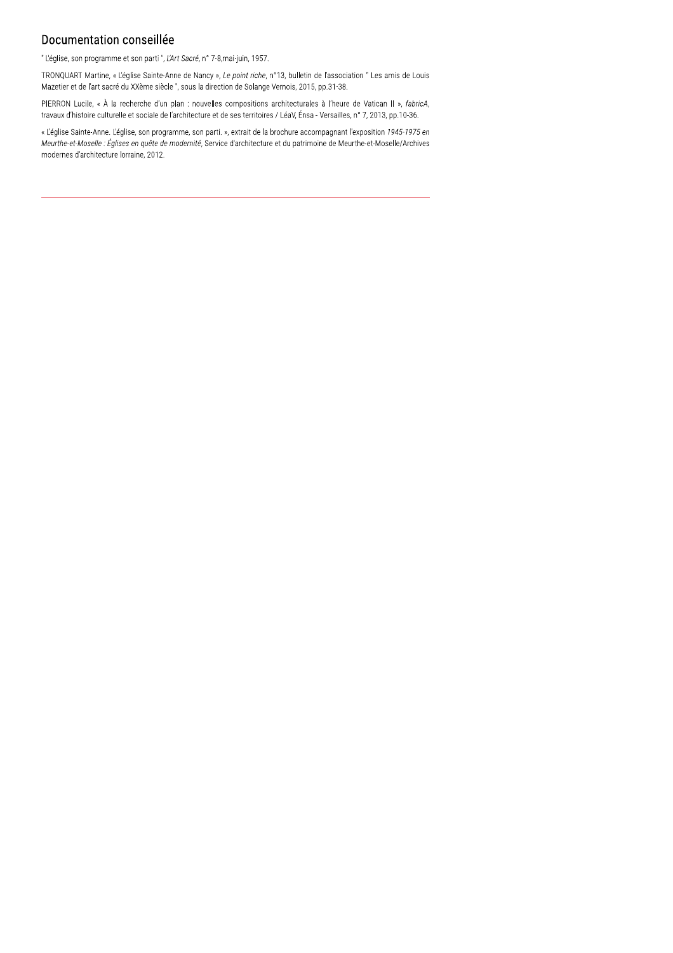#### Documentation conseillée

" L'église, son programme et son parti ", L'Art Sacré, n° 7-8, mai-juin, 1957.

TRONQUART Martine, « L'église Sainte-Anne de Nancy », Le point riche, n°13, bulletin de l'association " Les amis de Louis Mazetier et de l'art sacré du XXème siècle", sous la direction de Solange Vernois, 2015, pp.31-38.

PIERRON Lucile, « À la recherche d'un plan : nouvelles compositions architecturales à l'heure de Vatican II », fabricA, travaux d'histoire culturelle et sociale de l'architecture et de ses territoires / LéaV, Énsa - Versailles, n° 7, 2013, pp.10-36.

« L'église Sainte-Anne. L'église, son programme, son parti. », extrait de la brochure accompagnant l'exposition 1945-1975 en Meurthe-et-Moselle : Églises en quête de modernité, Service d'architecture et du patrimoine de Meurthe-et-Moselle/Archives modernes d'architecture lorraine, 2012.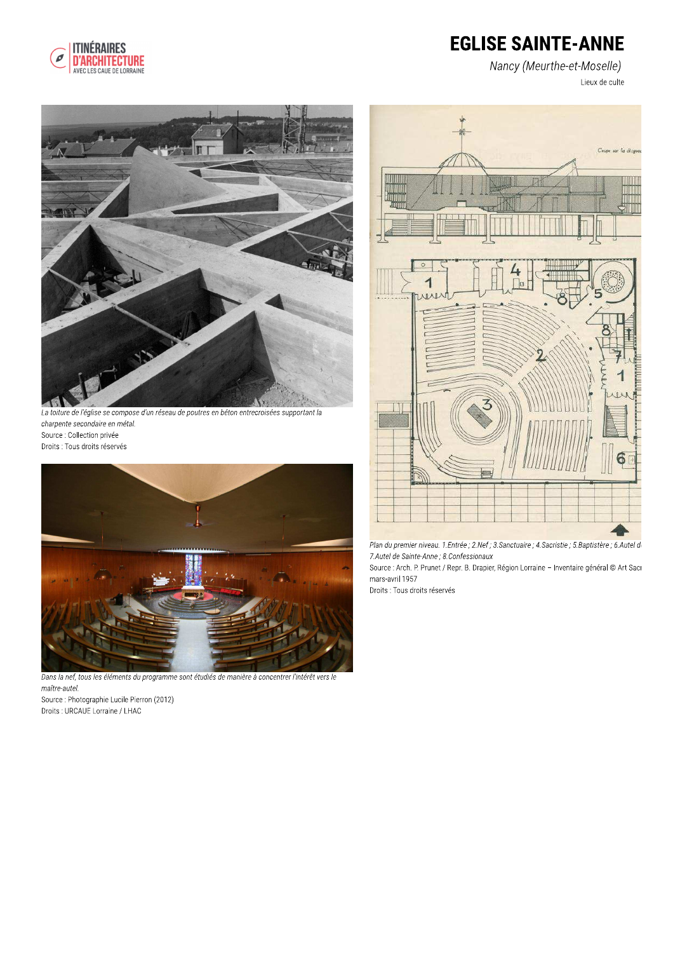

# **EGLISE SAINTE-ANNE**

Nancy (Meurthe-et-Moselle) Lieux de culte



La toiture de l'église se compose d'un réseau de poutres en béton entrecroisées supportant la charpente secondaire en métal. Source : Collection privée Droits : Tous droits réservés



Dans la nef, tous les éléments du programme sont étudiés de manière à concentrer l'intérêt vers le maître-autel. Source : Photographie Lucile Pierron (2012)

Droits : URCAUE Lorraine / LHAC



Plan du premier niveau. 1.Entrée ; 2.Nef ; 3.Sanctuaire ; 4.Sacristie ; 5.Baptistère ; 6.Autel de 7.Autel de Sainte-Anne ; 8.Confessionaux

Source : Arch. P. Prunet / Repr. B. Drapier, Région Lorraine - Inventaire général @ Art Sacr mars-avril 1957

Droits : Tous droits réservés